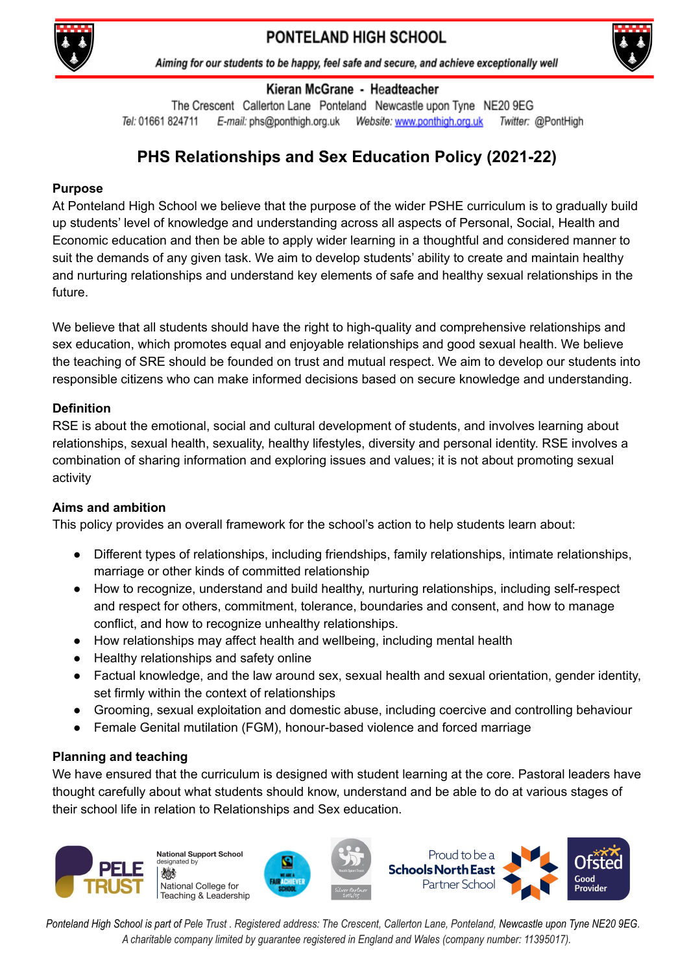



#### Kieran McGrane - Headteacher

The Crescent Callerton Lane Ponteland Newcastle upon Tyne NE20 9EG Tel: 01661 824711 E-mail: phs@ponthigh.org.uk Website: www.ponthigh.org.uk Twitter: @PontHigh

# **PHS Relationships and Sex Education Policy (2021-22)**

### **Purpose**

At Ponteland High School we believe that the purpose of the wider PSHE curriculum is to gradually build up students' level of knowledge and understanding across all aspects of Personal, Social, Health and Economic education and then be able to apply wider learning in a thoughtful and considered manner to suit the demands of any given task. We aim to develop students' ability to create and maintain healthy and nurturing relationships and understand key elements of safe and healthy sexual relationships in the future.

We believe that all students should have the right to high-quality and comprehensive relationships and sex education, which promotes equal and enjoyable relationships and good sexual health. We believe the teaching of SRE should be founded on trust and mutual respect. We aim to develop our students into responsible citizens who can make informed decisions based on secure knowledge and understanding.

### **Definition**

RSE is about the emotional, social and cultural development of students, and involves learning about relationships, sexual health, sexuality, healthy lifestyles, diversity and personal identity. RSE involves a combination of sharing information and exploring issues and values; it is not about promoting sexual activity

## **Aims and ambition**

This policy provides an overall framework for the school's action to help students learn about:

- Different types of relationships, including friendships, family relationships, intimate relationships, marriage or other kinds of committed relationship
- How to recognize, understand and build healthy, nurturing relationships, including self-respect and respect for others, commitment, tolerance, boundaries and consent, and how to manage conflict, and how to recognize unhealthy relationships.
- How relationships may affect health and wellbeing, including mental health
- Healthy relationships and safety online
- Factual knowledge, and the law around sex, sexual health and sexual orientation, gender identity, set firmly within the context of relationships
- Grooming, sexual exploitation and domestic abuse, including coercive and controlling behaviour
- Female Genital mutilation (FGM), honour-based violence and forced marriage

## **Planning and teaching**

We have ensured that the curriculum is designed with student learning at the core. Pastoral leaders have thought carefully about what students should know, understand and be able to do at various stages of their school life in relation to Relationships and Sex education.



**National Support School** id heternizel National College for Teaching & Leadership





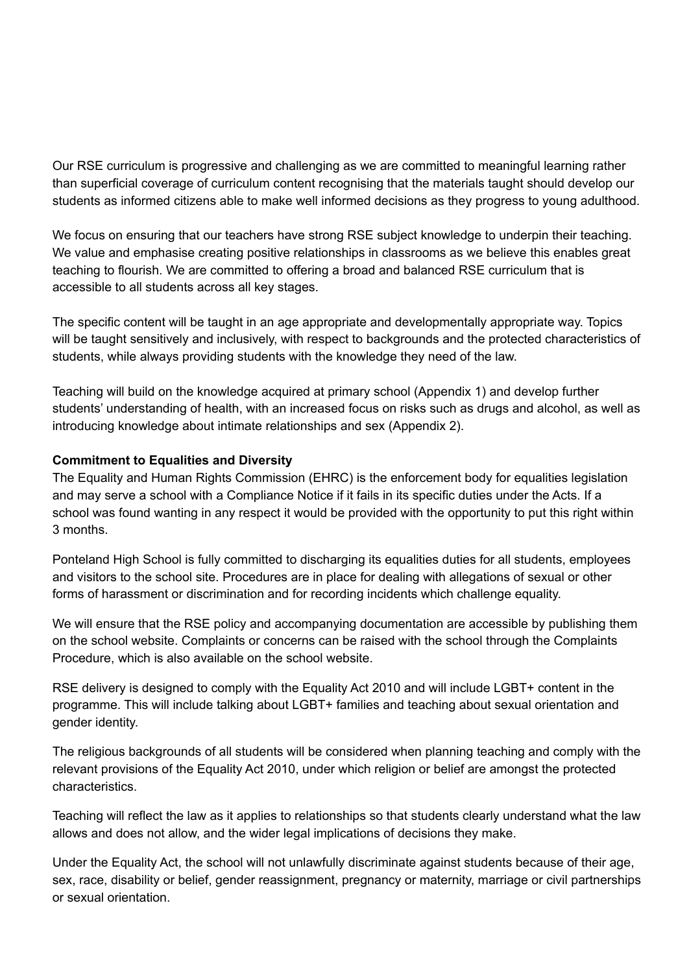Our RSE curriculum is progressive and challenging as we are committed to meaningful learning rather than superficial coverage of curriculum content recognising that the materials taught should develop our students as informed citizens able to make well informed decisions as they progress to young adulthood.

We focus on ensuring that our teachers have strong RSE subject knowledge to underpin their teaching. We value and emphasise creating positive relationships in classrooms as we believe this enables great teaching to flourish. We are committed to offering a broad and balanced RSE curriculum that is accessible to all students across all key stages.

The specific content will be taught in an age appropriate and developmentally appropriate way. Topics will be taught sensitively and inclusively, with respect to backgrounds and the protected characteristics of students, while always providing students with the knowledge they need of the law.

Teaching will build on the knowledge acquired at primary school (Appendix 1) and develop further students' understanding of health, with an increased focus on risks such as drugs and alcohol, as well as introducing knowledge about intimate relationships and sex (Appendix 2).

## **Commitment to Equalities and Diversity**

The Equality and Human Rights Commission (EHRC) is the enforcement body for equalities legislation and may serve a school with a Compliance Notice if it fails in its specific duties under the Acts. If a school was found wanting in any respect it would be provided with the opportunity to put this right within 3 months.

Ponteland High School is fully committed to discharging its equalities duties for all students, employees and visitors to the school site. Procedures are in place for dealing with allegations of sexual or other forms of harassment or discrimination and for recording incidents which challenge equality.

We will ensure that the RSE policy and accompanying documentation are accessible by publishing them on the school website. Complaints or concerns can be raised with the school through the Complaints Procedure, which is also available on the school website.

RSE delivery is designed to comply with the Equality Act 2010 and will include LGBT+ content in the programme. This will include talking about LGBT+ families and teaching about sexual orientation and gender identity.

The religious backgrounds of all students will be considered when planning teaching and comply with the relevant provisions of the Equality Act 2010, under which religion or belief are amongst the protected characteristics.

Teaching will reflect the law as it applies to relationships so that students clearly understand what the law allows and does not allow, and the wider legal implications of decisions they make.

Under the Equality Act, the school will not unlawfully discriminate against students because of their age, sex, race, disability or belief, gender reassignment, pregnancy or maternity, marriage or civil partnerships or sexual orientation.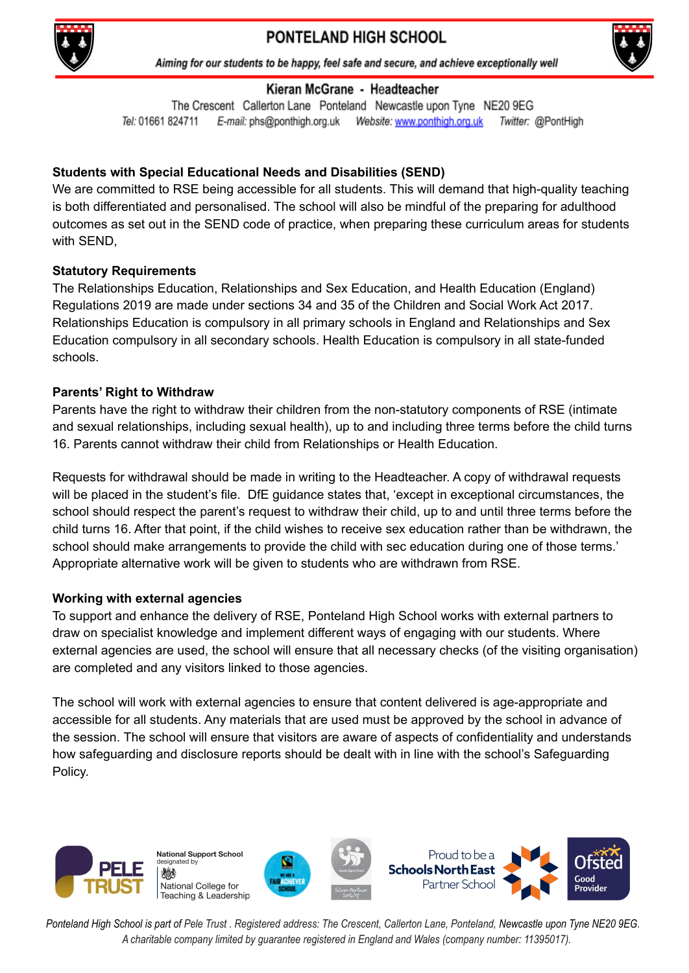



Aiming for our students to be happy, feel safe and secure, and achieve exceptionally well

## Kieran McGrane - Headteacher

The Crescent Callerton Lane Ponteland Newcastle upon Tyne NE20 9EG Tel: 01661 824711 E-mail: phs@ponthigh.org.uk Website: www.ponthigh.org.uk Twitter: @PontHigh

# **Students with Special Educational Needs and Disabilities (SEND)**

We are committed to RSE being accessible for all students. This will demand that high-quality teaching is both differentiated and personalised. The school will also be mindful of the preparing for adulthood outcomes as set out in the SEND code of practice, when preparing these curriculum areas for students with SEND,

# **Statutory Requirements**

The Relationships Education, Relationships and Sex Education, and Health Education (England) Regulations 2019 are made under sections 34 and 35 of the Children and Social Work Act 2017. Relationships Education is compulsory in all primary schools in England and Relationships and Sex Education compulsory in all secondary schools. Health Education is compulsory in all state-funded schools.

# **Parents' Right to Withdraw**

Parents have the right to withdraw their children from the non-statutory components of RSE (intimate and sexual relationships, including sexual health), up to and including three terms before the child turns 16. Parents cannot withdraw their child from Relationships or Health Education.

Requests for withdrawal should be made in writing to the Headteacher. A copy of withdrawal requests will be placed in the student's file. DfE guidance states that, 'except in exceptional circumstances, the school should respect the parent's request to withdraw their child, up to and until three terms before the child turns 16. After that point, if the child wishes to receive sex education rather than be withdrawn, the school should make arrangements to provide the child with sec education during one of those terms.' Appropriate alternative work will be given to students who are withdrawn from RSE.

## **Working with external agencies**

To support and enhance the delivery of RSE, Ponteland High School works with external partners to draw on specialist knowledge and implement different ways of engaging with our students. Where external agencies are used, the school will ensure that all necessary checks (of the visiting organisation) are completed and any visitors linked to those agencies.

The school will work with external agencies to ensure that content delivered is age-appropriate and accessible for all students. Any materials that are used must be approved by the school in advance of the session. The school will ensure that visitors are aware of aspects of confidentiality and understands how safeguarding and disclosure reports should be dealt with in line with the school's Safeguarding Policy.

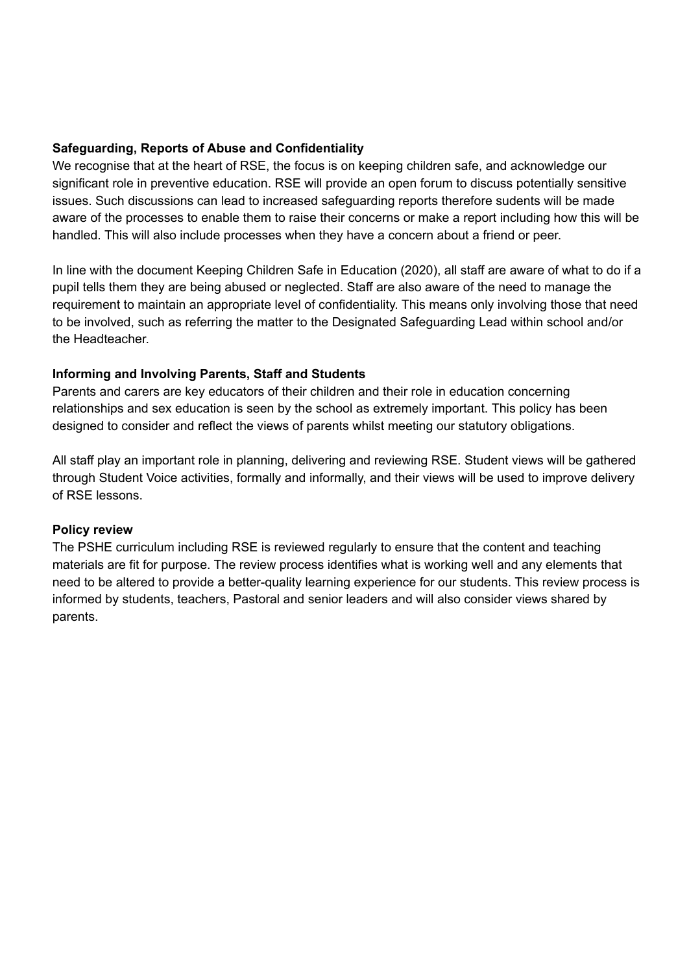### **Safeguarding, Reports of Abuse and Confidentiality**

We recognise that at the heart of RSE, the focus is on keeping children safe, and acknowledge our significant role in preventive education. RSE will provide an open forum to discuss potentially sensitive issues. Such discussions can lead to increased safeguarding reports therefore sudents will be made aware of the processes to enable them to raise their concerns or make a report including how this will be handled. This will also include processes when they have a concern about a friend or peer.

In line with the document Keeping Children Safe in Education (2020), all staff are aware of what to do if a pupil tells them they are being abused or neglected. Staff are also aware of the need to manage the requirement to maintain an appropriate level of confidentiality. This means only involving those that need to be involved, such as referring the matter to the Designated Safeguarding Lead within school and/or the Headteacher.

## **Informing and Involving Parents, Staff and Students**

Parents and carers are key educators of their children and their role in education concerning relationships and sex education is seen by the school as extremely important. This policy has been designed to consider and reflect the views of parents whilst meeting our statutory obligations.

All staff play an important role in planning, delivering and reviewing RSE. Student views will be gathered through Student Voice activities, formally and informally, and their views will be used to improve delivery of RSE lessons.

#### **Policy review**

The PSHE curriculum including RSE is reviewed regularly to ensure that the content and teaching materials are fit for purpose. The review process identifies what is working well and any elements that need to be altered to provide a better-quality learning experience for our students. This review process is informed by students, teachers, Pastoral and senior leaders and will also consider views shared by parents.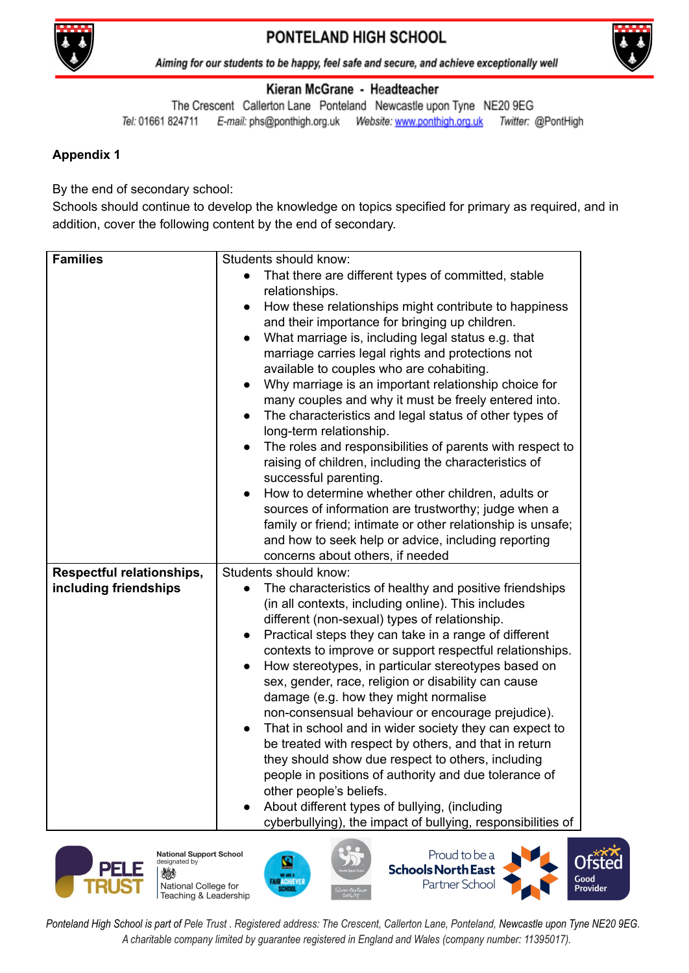



Aiming for our students to be happy, feel safe and secure, and achieve exceptionally well

### Kieran McGrane - Headteacher

The Crescent Callerton Lane Ponteland Newcastle upon Tyne NE20 9EG Tel: 01661 824711 Twitter: @PontHigh

# **Appendix 1**

By the end of secondary school:

Schools should continue to develop the knowledge on topics specified for primary as required, and in addition, cover the following content by the end of secondary.

| <b>Families</b>                  | Students should know:                                                                                          |
|----------------------------------|----------------------------------------------------------------------------------------------------------------|
|                                  | That there are different types of committed, stable<br>$\bullet$                                               |
|                                  | relationships.                                                                                                 |
|                                  | How these relationships might contribute to happiness<br>$\bullet$                                             |
|                                  | and their importance for bringing up children.                                                                 |
|                                  | What marriage is, including legal status e.g. that<br>$\bullet$                                                |
|                                  | marriage carries legal rights and protections not                                                              |
|                                  | available to couples who are cohabiting.                                                                       |
|                                  | Why marriage is an important relationship choice for                                                           |
|                                  | many couples and why it must be freely entered into.<br>The characteristics and legal status of other types of |
|                                  | $\bullet$<br>long-term relationship.                                                                           |
|                                  | The roles and responsibilities of parents with respect to                                                      |
|                                  | raising of children, including the characteristics of                                                          |
|                                  | successful parenting.                                                                                          |
|                                  | How to determine whether other children, adults or                                                             |
|                                  | sources of information are trustworthy; judge when a                                                           |
|                                  | family or friend; intimate or other relationship is unsafe;                                                    |
|                                  | and how to seek help or advice, including reporting                                                            |
|                                  | concerns about others, if needed                                                                               |
| <b>Respectful relationships,</b> | Students should know:                                                                                          |
| including friendships            | The characteristics of healthy and positive friendships<br>$\bullet$                                           |
|                                  | (in all contexts, including online). This includes                                                             |
|                                  | different (non-sexual) types of relationship.<br>Practical steps they can take in a range of different         |
|                                  | contexts to improve or support respectful relationships.                                                       |
|                                  | How stereotypes, in particular stereotypes based on                                                            |
|                                  | sex, gender, race, religion or disability can cause                                                            |
|                                  | damage (e.g. how they might normalise                                                                          |
|                                  | non-consensual behaviour or encourage prejudice).                                                              |
|                                  | That in school and in wider society they can expect to<br>$\bullet$                                            |
|                                  | be treated with respect by others, and that in return                                                          |
|                                  | they should show due respect to others, including                                                              |
|                                  | people in positions of authority and due tolerance of                                                          |
|                                  | other people's beliefs.                                                                                        |
|                                  | About different types of bullying, (including<br>cyberbullying), the impact of bullying, responsibilities of   |
|                                  |                                                                                                                |



**National Support School** lesignated by 燃 National College for Teaching & Leadership





Good Provider

Proud to be a

Partner School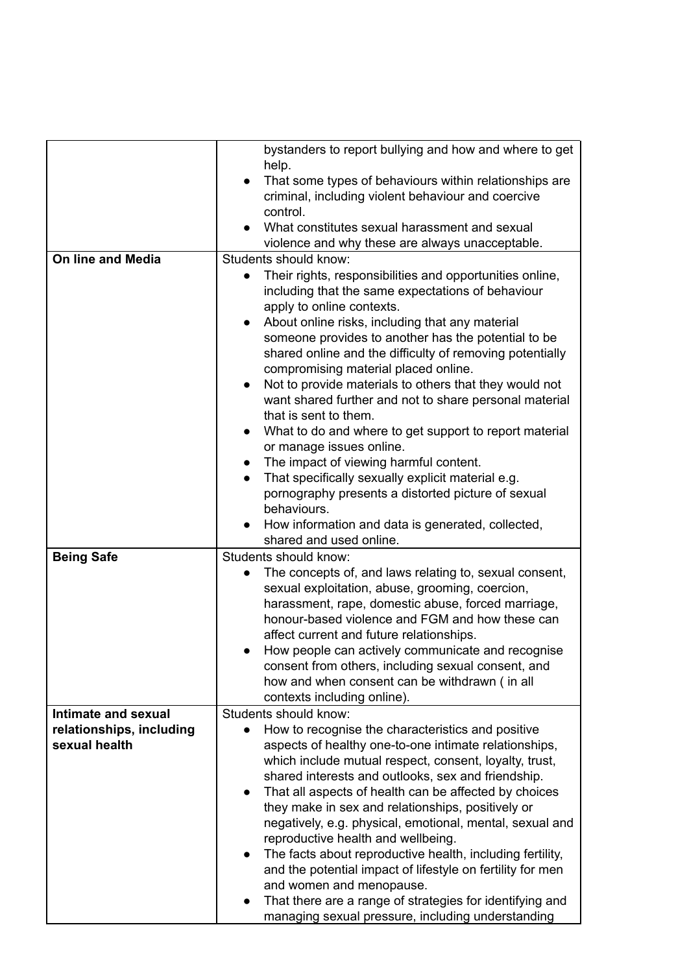|                                           | bystanders to report bullying and how and where to get<br>help.<br>That some types of behaviours within relationships are<br>$\bullet$<br>criminal, including violent behaviour and coercive<br>control.<br>What constitutes sexual harassment and sexual<br>violence and why these are always unacceptable.                                                                                                                                                                                                                                                                                                                                                                                                                                                                                                                                                             |
|-------------------------------------------|--------------------------------------------------------------------------------------------------------------------------------------------------------------------------------------------------------------------------------------------------------------------------------------------------------------------------------------------------------------------------------------------------------------------------------------------------------------------------------------------------------------------------------------------------------------------------------------------------------------------------------------------------------------------------------------------------------------------------------------------------------------------------------------------------------------------------------------------------------------------------|
| On line and Media                         | Students should know:                                                                                                                                                                                                                                                                                                                                                                                                                                                                                                                                                                                                                                                                                                                                                                                                                                                    |
|                                           | Their rights, responsibilities and opportunities online,<br>including that the same expectations of behaviour<br>apply to online contexts.<br>About online risks, including that any material<br>someone provides to another has the potential to be<br>shared online and the difficulty of removing potentially<br>compromising material placed online.<br>Not to provide materials to others that they would not<br>$\bullet$<br>want shared further and not to share personal material<br>that is sent to them.<br>What to do and where to get support to report material<br>$\bullet$<br>or manage issues online.<br>The impact of viewing harmful content.<br>$\bullet$<br>That specifically sexually explicit material e.g.<br>$\bullet$<br>pornography presents a distorted picture of sexual<br>behaviours.<br>How information and data is generated, collected, |
|                                           | shared and used online.                                                                                                                                                                                                                                                                                                                                                                                                                                                                                                                                                                                                                                                                                                                                                                                                                                                  |
| <b>Being Safe</b>                         | Students should know:<br>The concepts of, and laws relating to, sexual consent,<br>sexual exploitation, abuse, grooming, coercion,<br>harassment, rape, domestic abuse, forced marriage,<br>honour-based violence and FGM and how these can<br>affect current and future relationships.<br>How people can actively communicate and recognise<br>consent from others, including sexual consent, and<br>how and when consent can be withdrawn (in all<br>contexts including online).                                                                                                                                                                                                                                                                                                                                                                                       |
| Intimate and sexual                       | Students should know:                                                                                                                                                                                                                                                                                                                                                                                                                                                                                                                                                                                                                                                                                                                                                                                                                                                    |
| relationships, including<br>sexual health | How to recognise the characteristics and positive<br>$\bullet$<br>aspects of healthy one-to-one intimate relationships,<br>which include mutual respect, consent, loyalty, trust,<br>shared interests and outlooks, sex and friendship.<br>That all aspects of health can be affected by choices<br>$\bullet$<br>they make in sex and relationships, positively or<br>negatively, e.g. physical, emotional, mental, sexual and<br>reproductive health and wellbeing.<br>The facts about reproductive health, including fertility,<br>$\bullet$<br>and the potential impact of lifestyle on fertility for men<br>and women and menopause.<br>That there are a range of strategies for identifying and                                                                                                                                                                     |
|                                           | managing sexual pressure, including understanding                                                                                                                                                                                                                                                                                                                                                                                                                                                                                                                                                                                                                                                                                                                                                                                                                        |